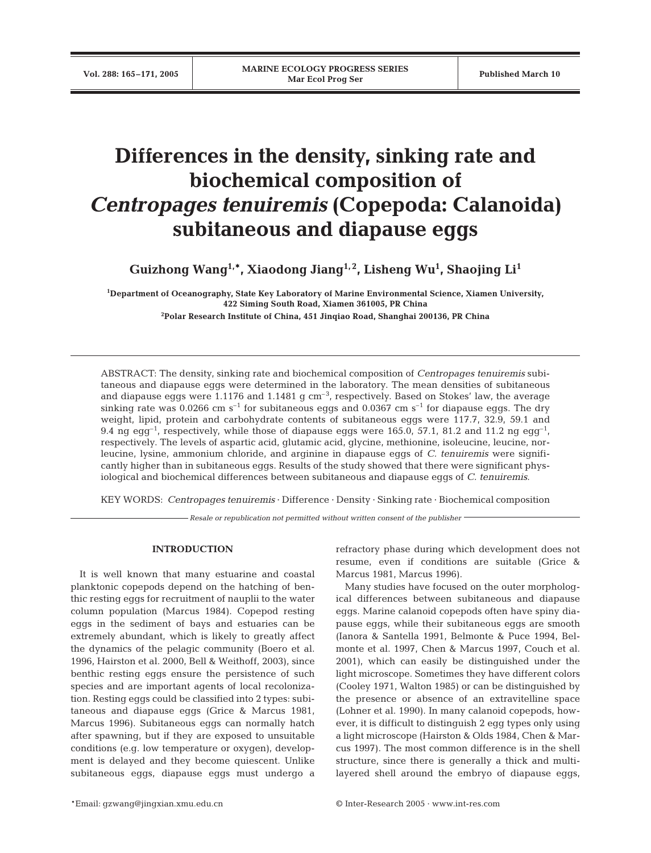# **Differences in the density, sinking rate and biochemical composition of**  *Centropages tenuiremis* **(Copepoda: Calanoida) subitaneous and diapause eggs**

**Guizhong Wang1,\*, Xiaodong Jiang1, 2, Lisheng Wu1 , Shaojing Li1**

**1 Department of Oceanography, State Key Laboratory of Marine Environmental Science, Xiamen University, 422 Siming South Road, Xiamen 361005, PR China**

**2 Polar Research Institute of China, 451 Jinqiao Road, Shanghai 200136, PR China**

ABSTRACT: The density, sinking rate and biochemical composition of *Centropages tenuiremis* subitaneous and diapause eggs were determined in the laboratory. The mean densities of subitaneous and diapause eggs were  $1.1176$  and  $1.1481$  g cm<sup>-3</sup>, respectively. Based on Stokes' law, the average sinking rate was 0.0266 cm  $s^{-1}$  for subitaneous eggs and 0.0367 cm  $s^{-1}$  for diapause eggs. The dry weight, lipid, protein and carbohydrate contents of subitaneous eggs were 117.7, 32.9, 59.1 and 9.4 ng egg<sup>-1</sup>, respectively, while those of diapause eggs were  $165.0$ ,  $57.1$ ,  $81.2$  and  $11.2$  ng egg<sup>-1</sup>, respectively. The levels of aspartic acid, glutamic acid, glycine, methionine, isoleucine, leucine, norleucine, lysine, ammonium chloride, and arginine in diapause eggs of *C. tenuiremis* were significantly higher than in subitaneous eggs. Results of the study showed that there were significant physiological and biochemical differences between subitaneous and diapause eggs of *C. tenuiremis*.

KEY WORDS: *Centropages tenuiremis* · Difference · Density · Sinking rate · Biochemical composition

*Resale or republication not permitted without written consent of the publisher*

## **INTRODUCTION**

It is well known that many estuarine and coastal planktonic copepods depend on the hatching of benthic resting eggs for recruitment of nauplii to the water column population (Marcus 1984). Copepod resting eggs in the sediment of bays and estuaries can be extremely abundant, which is likely to greatly affect the dynamics of the pelagic community (Boero et al. 1996, Hairston et al. 2000, Bell & Weithoff, 2003), since benthic resting eggs ensure the persistence of such species and are important agents of local recolonization. Resting eggs could be classified into 2 types: subitaneous and diapause eggs (Grice & Marcus 1981, Marcus 1996). Subitaneous eggs can normally hatch after spawning, but if they are exposed to unsuitable conditions (e.g. low temperature or oxygen), development is delayed and they become quiescent. Unlike subitaneous eggs, diapause eggs must undergo a refractory phase during which development does not resume, even if conditions are suitable (Grice & Marcus 1981, Marcus 1996).

Many studies have focused on the outer morphological differences between subitaneous and diapause eggs. Marine calanoid copepods often have spiny diapause eggs, while their subitaneous eggs are smooth (Ianora & Santella 1991, Belmonte & Puce 1994, Belmonte et al. 1997, Chen & Marcus 1997, Couch et al. 2001), which can easily be distinguished under the light microscope. Sometimes they have different colors (Cooley 1971, Walton 1985) or can be distinguished by the presence or absence of an extravitelline space (Lohner et al. 1990). In many calanoid copepods, however, it is difficult to distinguish 2 egg types only using a light microscope (Hairston & Olds 1984, Chen & Marcus 1997). The most common difference is in the shell structure, since there is generally a thick and multilayered shell around the embryo of diapause eggs,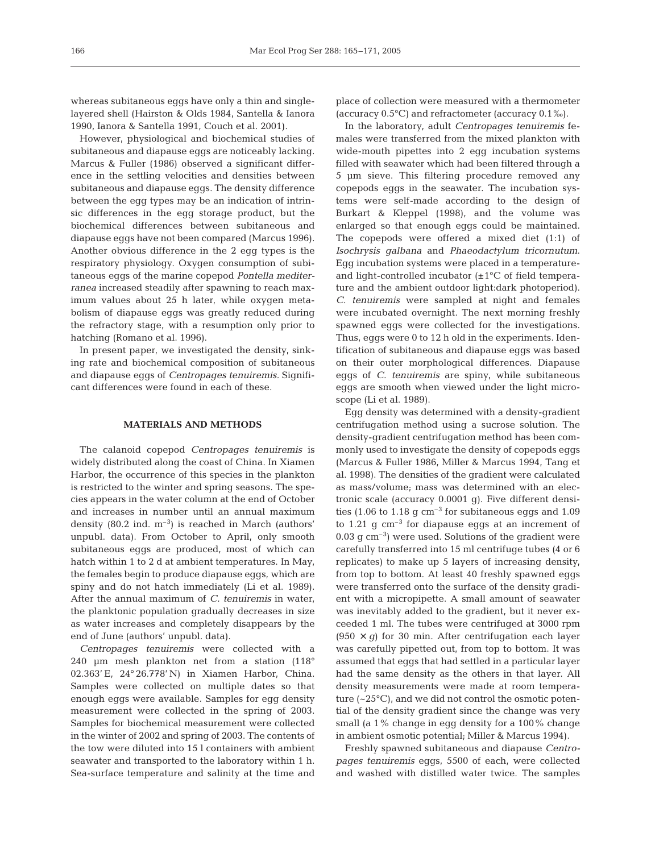whereas subitaneous eggs have only a thin and singlelayered shell (Hairston & Olds 1984, Santella & Ianora 1990, Ianora & Santella 1991, Couch et al. 2001).

However, physiological and biochemical studies of subitaneous and diapause eggs are noticeably lacking. Marcus & Fuller (1986) observed a significant difference in the settling velocities and densities between subitaneous and diapause eggs. The density difference between the egg types may be an indication of intrinsic differences in the egg storage product, but the biochemical differences between subitaneous and diapause eggs have not been compared (Marcus 1996). Another obvious difference in the 2 egg types is the respiratory physiology. Oxygen consumption of subitaneous eggs of the marine copepod *Pontella mediterranea* increased steadily after spawning to reach maximum values about 25 h later, while oxygen metabolism of diapause eggs was greatly reduced during the refractory stage, with a resumption only prior to hatching (Romano et al. 1996).

In present paper, we investigated the density, sinking rate and biochemical composition of subitaneous and diapause eggs of *Centropages tenuiremis.* Significant differences were found in each of these.

## **MATERIALS AND METHODS**

The calanoid copepod *Centropages tenuiremis* is widely distributed along the coast of China. In Xiamen Harbor, the occurrence of this species in the plankton is restricted to the winter and spring seasons. The species appears in the water column at the end of October and increases in number until an annual maximum density  $(80.2 \text{ ind. m}^{-3})$  is reached in March (authors' unpubl. data). From October to April, only smooth subitaneous eggs are produced, most of which can hatch within 1 to 2 d at ambient temperatures. In May, the females begin to produce diapause eggs, which are spiny and do not hatch immediately (Li et al. 1989). After the annual maximum of *C. tenuiremis* in water, the planktonic population gradually decreases in size as water increases and completely disappears by the end of June (authors' unpubl. data).

*Centropages tenuiremis* were collected with a 240 µm mesh plankton net from a station (118° 02.363' E, 24° 26.778' N) in Xiamen Harbor, China. Samples were collected on multiple dates so that enough eggs were available. Samples for egg density measurement were collected in the spring of 2003. Samples for biochemical measurement were collected in the winter of 2002 and spring of 2003. The contents of the tow were diluted into 15 l containers with ambient seawater and transported to the laboratory within 1 h. Sea-surface temperature and salinity at the time and

place of collection were measured with a thermometer (accuracy 0.5°C) and refractometer (accuracy 0.1‰).

In the laboratory, adult *Centropages tenuiremis* females were transferred from the mixed plankton with wide-mouth pipettes into 2 egg incubation systems filled with seawater which had been filtered through a 5 µm sieve. This filtering procedure removed any copepods eggs in the seawater. The incubation systems were self-made according to the design of Burkart & Kleppel (1998), and the volume was enlarged so that enough eggs could be maintained. The copepods were offered a mixed diet (1:1) of *Isochrysis galbana* and *Phaeodactylum tricornutum*. Egg incubation systems were placed in a temperatureand light-controlled incubator  $(\pm 1^{\circ}C)$  of field temperature and the ambient outdoor light:dark photoperiod). *C. tenuiremis* were sampled at night and females were incubated overnight. The next morning freshly spawned eggs were collected for the investigations. Thus, eggs were 0 to 12 h old in the experiments. Identification of subitaneous and diapause eggs was based on their outer morphological differences. Diapause eggs of *C. tenuiremis* are spiny, while subitaneous eggs are smooth when viewed under the light microscope (Li et al. 1989).

Egg density was determined with a density-gradient centrifugation method using a sucrose solution. The density-gradient centrifugation method has been commonly used to investigate the density of copepods eggs (Marcus & Fuller 1986, Miller & Marcus 1994, Tang et al. 1998). The densities of the gradient were calculated as mass/volume; mass was determined with an electronic scale (accuracy 0.0001 g). Five different densities (1.06 to 1.18  $\rm g \ cm^{-3}$  for subitaneous eggs and 1.09 to  $1.21$  g  $cm^{-3}$  for diapause eggs at an increment of  $0.03$  g cm<sup>-3</sup>) were used. Solutions of the gradient were carefully transferred into 15 ml centrifuge tubes (4 or 6 replicates) to make up 5 layers of increasing density, from top to bottom. At least 40 freshly spawned eggs were transferred onto the surface of the density gradient with a micropipette. A small amount of seawater was inevitably added to the gradient, but it never exceeded 1 ml. The tubes were centrifuged at 3000 rpm  $(950 \times g)$  for 30 min. After centrifugation each layer was carefully pipetted out, from top to bottom. It was assumed that eggs that had settled in a particular layer had the same density as the others in that layer. All density measurements were made at room temperature (~25°C), and we did not control the osmotic potential of the density gradient since the change was very small (a 1% change in egg density for a 100% change in ambient osmotic potential; Miller & Marcus 1994).

Freshly spawned subitaneous and diapause *Centropages tenuiremis* eggs, 5500 of each, were collected and washed with distilled water twice. The samples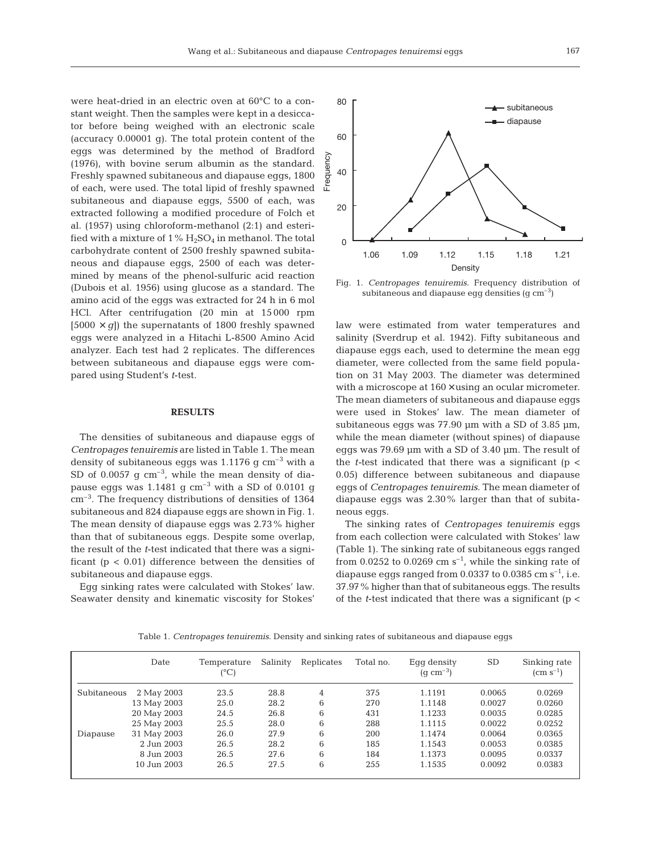were heat-dried in an electric oven at 60°C to a constant weight. Then the samples were kept in a desiccator before being weighed with an electronic scale (accuracy 0.00001 g). The total protein content of the eggs was determined by the method of Bradford (1976), with bovine serum albumin as the standard. Freshly spawned subitaneous and diapause eggs, 1800 of each, were used. The total lipid of freshly spawned subitaneous and diapause eggs, 5500 of each, was extracted following a modified procedure of Folch et al. (1957) using chloroform-methanol (2:1) and esterified with a mixture of  $1\%$   $H_2SO_4$  in methanol. The total carbohydrate content of 2500 freshly spawned subitaneous and diapause eggs, 2500 of each was determined by means of the phenol-sulfuric acid reaction (Dubois et al. 1956) using glucose as a standard. The amino acid of the eggs was extracted for 24 h in 6 mol HCl. After centrifugation (20 min at 15 000 rpm  $[5000 \times q]$  the supernatants of 1800 freshly spawned eggs were analyzed in a Hitachi L-8500 Amino Acid analyzer. Each test had 2 replicates. The differences between subitaneous and diapause eggs were compared using Student's *t*-test.

#### **RESULTS**

The densities of subitaneous and diapause eggs of *Centropages tenuiremis* are listed in Table 1. The mean density of subitaneous eggs was  $1.1176$  g cm<sup>-3</sup> with a SD of 0.0057  $\sigma$  cm<sup>-3</sup>, while the mean density of diapause eggs was  $1.1481$  g  $\text{cm}^{-3}$  with a SD of 0.0101 g cm–3. The frequency distributions of densities of 1364 subitaneous and 824 diapause eggs are shown in Fig. 1. The mean density of diapause eggs was 2.73% higher than that of subitaneous eggs. Despite some overlap, the result of the *t*-test indicated that there was a significant ( $p < 0.01$ ) difference between the densities of subitaneous and diapause eggs.

Egg sinking rates were calculated with Stokes' law. Seawater density and kinematic viscosity for Stokes'



Fig. 1. *Centropages tenuiremis*. Frequency distribution of subitaneous and diapause egg densities  $(q \text{ cm}^{-3})$ 

law were estimated from water temperatures and salinity (Sverdrup et al. 1942). Fifty subitaneous and diapause eggs each, used to determine the mean egg diameter, were collected from the same field population on 31 May 2003. The diameter was determined with a microscope at  $160 \times$  using an ocular micrometer. The mean diameters of subitaneous and diapause eggs were used in Stokes' law. The mean diameter of subitaneous eggs was  $77.90 \mu m$  with a SD of 3.85  $\mu$ m, while the mean diameter (without spines) of diapause eggs was 79.69 µm with a SD of 3.40 µm. The result of the *t-*test indicated that there was a significant (p < 0.05) difference between subitaneous and diapause eggs of *Centropages tenuiremis*. The mean diameter of diapause eggs was 2.30% larger than that of subitaneous eggs.

The sinking rates of *Centropages tenuiremis* eggs from each collection were calculated with Stokes' law (Table 1). The sinking rate of subitaneous eggs ranged from 0.0252 to 0.0269 cm  $s^{-1}$ , while the sinking rate of diapause eggs ranged from 0.0337 to 0.0385 cm  $s^{-1}$ , i.e. 37.97% higher than that of subitaneous eggs. The results of the *t*-test indicated that there was a significant (p <

Table 1. *Centropages tenuiremis*. Density and sinking rates of subitaneous and diapause eggs

|             | Date        | Temperature<br>(°C) | Salinity | Replicates | Total no. | Eqq density<br>$(q \text{ cm}^{-3})$ | <b>SD</b> | Sinking rate<br>$\rm (cm \; s^{-1})$ |
|-------------|-------------|---------------------|----------|------------|-----------|--------------------------------------|-----------|--------------------------------------|
| Subitaneous | 2 May 2003  | 23.5                | 28.8     | 4          | 375       | 1.1191                               | 0.0065    | 0.0269                               |
|             | 13 May 2003 | 25.0                | 28.2     | 6          | 270       | 1.1148                               | 0.0027    | 0.0260                               |
|             | 20 May 2003 | 24.5                | 26.8     | 6          | 431       | 1.1233                               | 0.0035    | 0.0285                               |
|             | 25 May 2003 | 25.5                | 28.0     | 6          | 288       | 1.1115                               | 0.0022    | 0.0252                               |
| Diapause    | 31 May 2003 | 26.0                | 27.9     | 6          | 200       | 1.1474                               | 0.0064    | 0.0365                               |
|             | 2.Jun 2003  | 26.5                | 28.2     | 6          | 185       | 1.1543                               | 0.0053    | 0.0385                               |
|             | 8 Jun 2003  | 26.5                | 27.6     | 6          | 184       | 1.1373                               | 0.0095    | 0.0337                               |
|             | 10 Jun 2003 | 26.5                | 27.5     | 6          | 255       | 1.1535                               | 0.0092    | 0.0383                               |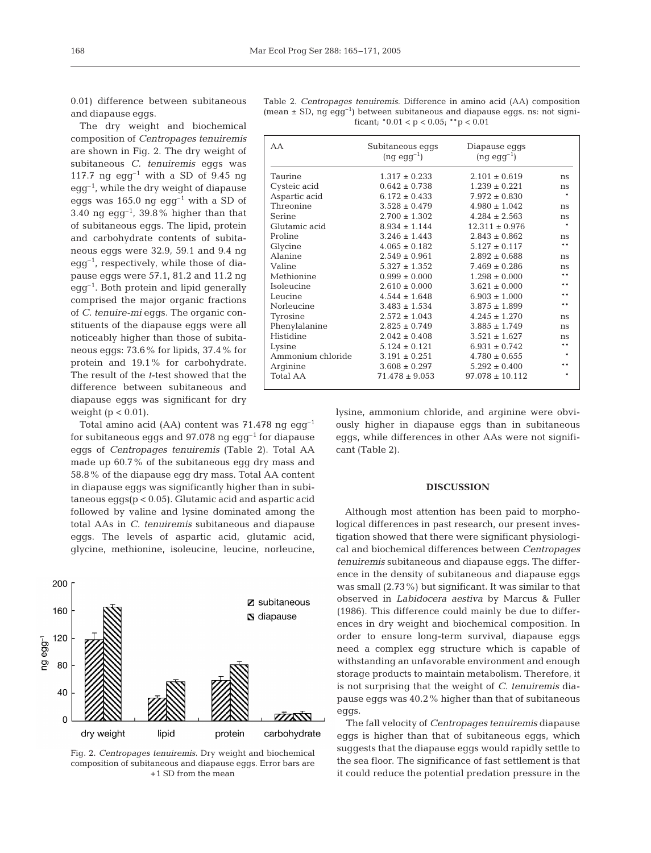0.01) difference between subitaneous and diapause eggs.

The dry weight and biochemical composition of *Centropages tenuiremis* are shown in Fig. 2. The dry weight of subitaneous *C. tenuiremis* eggs was 117.7 ng  $egg^{-1}$  with a SD of 9.45 ng  $eqq^{-1}$ , while the dry weight of diapause eggs was 165.0 ng egg<sup>-1</sup> with a SD of 3.40 ng egg<sup>-1</sup>, 39.8% higher than that of subitaneous eggs. The lipid, protein and carbohydrate contents of subitaneous eggs were 32.9, 59.1 and 9.4 ng  $\text{egg}^{-1}$ , respectively, while those of diapause eggs were 57.1, 81.2 and 11.2 ng  $eqq^{-1}$ . Both protein and lipid generally comprised the major organic fractions of *C. tenuire-mi* eggs. The organic constituents of the diapause eggs were all noticeably higher than those of subitaneous eggs: 73.6% for lipids, 37.4% for protein and 19.1% for carbohydrate. The result of the *t*-test showed that the difference between subitaneous and diapause eggs was significant for dry weight  $(p < 0.01)$ .

Total amino acid (AA) content was 71.478 ng egg–1 for subitaneous eggs and  $97.078$  ng egg<sup>-1</sup> for diapause eggs of *Centropages tenuiremis* (Table 2). Total AA made up 60.7% of the subitaneous egg dry mass and 58.8% of the diapause egg dry mass. Total AA content in diapause eggs was significantly higher than in subitaneous eggs(p < 0.05). Glutamic acid and aspartic acid followed by valine and lysine dominated among the total AAs in *C. tenuiremis* subitaneous and diapause eggs. The levels of aspartic acid, glutamic acid, glycine, methionine, isoleucine, leucine, norleucine,



Fig. 2. *Centropages tenuiremis*. Dry weight and biochemical composition of subitaneous and diapause eggs. Error bars are +1 SD from the mean

Table 2. *Centropages tenuiremis*. Difference in amino acid (AA) composition (mean  $\pm$  SD, ng egg<sup>-1</sup>) between subitaneous and diapause eggs. ns: not significant;  $*0.01 < p < 0.05$ ;  $** p < 0.01$ 

| AA                | Subitaneous eggs<br>$(ng e g g^{-1})$ | Diapause eggs<br>$(ng \text{ egg}^{-1})$ |               |
|-------------------|---------------------------------------|------------------------------------------|---------------|
| Taurine           | $1.317 \pm 0.233$                     | $2.101 \pm 0.619$                        | ns            |
| Cysteic acid      | $0.642 \pm 0.738$                     | $1.239 \pm 0.221$                        | ns            |
| Aspartic acid     | $6.172 \pm 0.433$                     | $7.972 \pm 0.830$                        |               |
| Threonine         | $3.528 \pm 0.479$                     | $4.980 \pm 1.042$                        | ns            |
| Serine            | $2.700 \pm 1.302$                     | $4.284 \pm 2.563$                        | ns            |
| Glutamic acid     | $8.934 \pm 1.144$                     | $12.311 \pm 0.976$                       |               |
| Proline           | $3.246 \pm 1.443$                     | $2.843 \pm 0.862$                        | ns            |
| Glycine           | $4.065 \pm 0.182$                     | $5.127 \pm 0.117$                        | $* *$         |
| Alanine           | $2.549 \pm 0.961$                     | $2.892 \pm 0.688$                        | ns            |
| Valine            | $5.327 \pm 1.352$                     | $7.469 \pm 0.286$                        | ns            |
| Methionine        | $0.999 \pm 0.000$                     | $1.298 \pm 0.000$                        | $***$         |
| Isoleucine        | $2.610 \pm 0.000$                     | $3.621 \pm 0.000$                        | $\ast$ $\ast$ |
| Leucine           | $4.544 \pm 1.648$                     | $6.903 \pm 1.000$                        | $\ast$ $\ast$ |
| Norleucine        | $3.483 \pm 1.534$                     | $3.875 \pm 1.899$                        | **            |
| Tyrosine          | $2.572 \pm 1.043$                     | $4.245 \pm 1.270$                        | ns            |
| Phenylalanine     | $2.825 \pm 0.749$                     | $3.885 \pm 1.749$                        | ns            |
| Histidine         | $2.042 \pm 0.408$                     | $3.521 \pm 1.627$                        | ns            |
| Lysine            | $5.124 \pm 0.121$                     | $6.931 \pm 0.742$                        | $* *$         |
| Ammonium chloride | $3.191 \pm 0.251$                     | $4.780 \pm 0.655$                        |               |
| Arginine          | $3.608 \pm 0.297$                     | $5.292 \pm 0.400$                        | $* *$         |
| <b>Total AA</b>   | $71.478 \pm 9.053$                    | $97.078 \pm 10.112$                      |               |

lysine, ammonium chloride, and arginine were obviously higher in diapause eggs than in subitaneous eggs, while differences in other AAs were not significant (Table 2).

### **DISCUSSION**

Although most attention has been paid to morphological differences in past research, our present investigation showed that there were significant physiological and biochemical differences between *Centropages tenuiremis* subitaneous and diapause eggs. The difference in the density of subitaneous and diapause eggs was small (2.73%) but significant. It was similar to that observed in *Labidocera aestiva* by Marcus & Fuller (1986). This difference could mainly be due to differences in dry weight and biochemical composition. In order to ensure long-term survival, diapause eggs need a complex egg structure which is capable of withstanding an unfavorable environment and enough storage products to maintain metabolism. Therefore, it is not surprising that the weight of *C. tenuiremis* diapause eggs was 40.2% higher than that of subitaneous eggs.

The fall velocity of *Centropages tenuiremis* diapause eggs is higher than that of subitaneous eggs, which suggests that the diapause eggs would rapidly settle to the sea floor. The significance of fast settlement is that it could reduce the potential predation pressure in the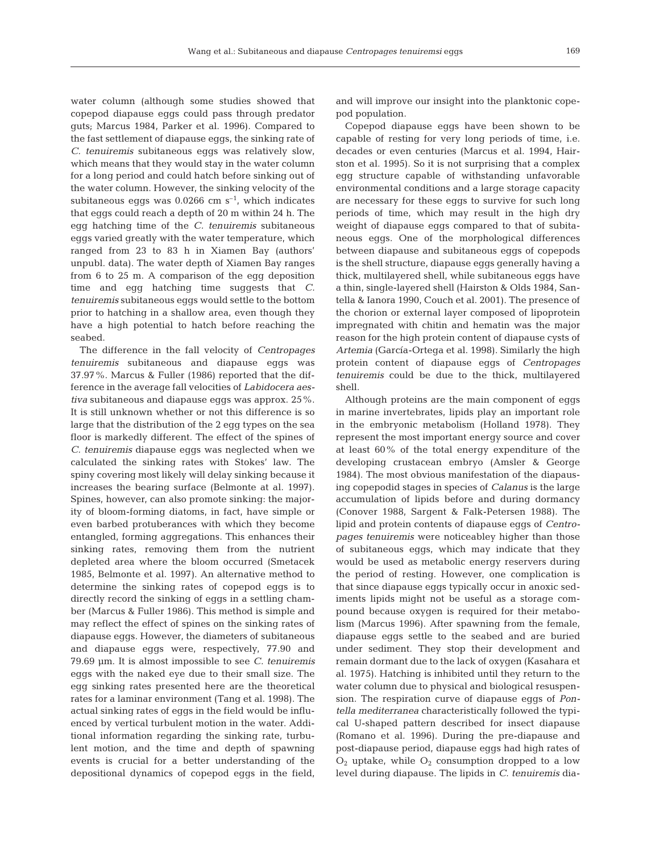water column (although some studies showed that copepod diapause eggs could pass through predator guts; Marcus 1984, Parker et al. 1996). Compared to the fast settlement of diapause eggs, the sinking rate of *C. tenuiremis* subitaneous eggs was relatively slow, which means that they would stay in the water column for a long period and could hatch before sinking out of the water column. However, the sinking velocity of the subitaneous eggs was  $0.0266$  cm s<sup>-1</sup>, which indicates that eggs could reach a depth of 20 m within 24 h. The egg hatching time of the *C. tenuiremis* subitaneous eggs varied greatly with the water temperature, which ranged from 23 to 83 h in Xiamen Bay (authors' unpubl. data). The water depth of Xiamen Bay ranges from 6 to 25 m. A comparison of the egg deposition time and egg hatching time suggests that *C. tenuiremis* subitaneous eggs would settle to the bottom prior to hatching in a shallow area, even though they have a high potential to hatch before reaching the seabed.

The difference in the fall velocity of *Centropages tenuiremis* subitaneous and diapause eggs was 37.97%. Marcus & Fuller (1986) reported that the difference in the average fall velocities of *Labidocera aestiva* subitaneous and diapause eggs was approx. 25%. It is still unknown whether or not this difference is so large that the distribution of the 2 egg types on the sea floor is markedly different. The effect of the spines of *C. tenuiremis* diapause eggs was neglected when we calculated the sinking rates with Stokes' law. The spiny covering most likely will delay sinking because it increases the bearing surface (Belmonte at al. 1997). Spines, however, can also promote sinking: the majority of bloom-forming diatoms, in fact, have simple or even barbed protuberances with which they become entangled, forming aggregations. This enhances their sinking rates, removing them from the nutrient depleted area where the bloom occurred (Smetacek 1985, Belmonte et al. 1997). An alternative method to determine the sinking rates of copepod eggs is to directly record the sinking of eggs in a settling chamber (Marcus & Fuller 1986). This method is simple and may reflect the effect of spines on the sinking rates of diapause eggs. However, the diameters of subitaneous and diapause eggs were, respectively, 77.90 and 79.69 µm. It is almost impossible to see *C. tenuiremis* eggs with the naked eye due to their small size. The egg sinking rates presented here are the theoretical rates for a laminar environment (Tang et al. 1998). The actual sinking rates of eggs in the field would be influenced by vertical turbulent motion in the water. Additional information regarding the sinking rate, turbulent motion, and the time and depth of spawning events is crucial for a better understanding of the depositional dynamics of copepod eggs in the field,

and will improve our insight into the planktonic copepod population.

Copepod diapause eggs have been shown to be capable of resting for very long periods of time, i.e. decades or even centuries (Marcus et al. 1994, Hairston et al. 1995). So it is not surprising that a complex egg structure capable of withstanding unfavorable environmental conditions and a large storage capacity are necessary for these eggs to survive for such long periods of time, which may result in the high dry weight of diapause eggs compared to that of subitaneous eggs. One of the morphological differences between diapause and subitaneous eggs of copepods is the shell structure, diapause eggs generally having a thick, multilayered shell, while subitaneous eggs have a thin, single-layered shell (Hairston & Olds 1984, Santella & Ianora 1990, Couch et al. 2001). The presence of the chorion or external layer composed of lipoprotein impregnated with chitin and hematin was the major reason for the high protein content of diapause cysts of *Artemia* (García-Ortega et al. 1998). Similarly the high protein content of diapause eggs of *Centropages tenuiremis* could be due to the thick, multilayered shell.

Although proteins are the main component of eggs in marine invertebrates, lipids play an important role in the embryonic metabolism (Holland 1978). They represent the most important energy source and cover at least 60% of the total energy expenditure of the developing crustacean embryo (Amsler & George 1984). The most obvious manifestation of the diapausing copepodid stages in species of *Calanus* is the large accumulation of lipids before and during dormancy (Conover 1988, Sargent & Falk-Petersen 1988). The lipid and protein contents of diapause eggs of *Centropages tenuiremis* were noticeabley higher than those of subitaneous eggs, which may indicate that they would be used as metabolic energy reservers during the period of resting. However, one complication is that since diapause eggs typically occur in anoxic sediments lipids might not be useful as a storage compound because oxygen is required for their metabolism (Marcus 1996). After spawning from the female, diapause eggs settle to the seabed and are buried under sediment. They stop their development and remain dormant due to the lack of oxygen (Kasahara et al. 1975). Hatching is inhibited until they return to the water column due to physical and biological resuspension. The respiration curve of diapause eggs of *Pontella mediterranea* characteristically followed the typical U-shaped pattern described for insect diapause (Romano et al. 1996). During the pre-diapause and post-diapause period, diapause eggs had high rates of  $O_2$  uptake, while  $O_2$  consumption dropped to a low level during diapause. The lipids in *C. tenuiremis* dia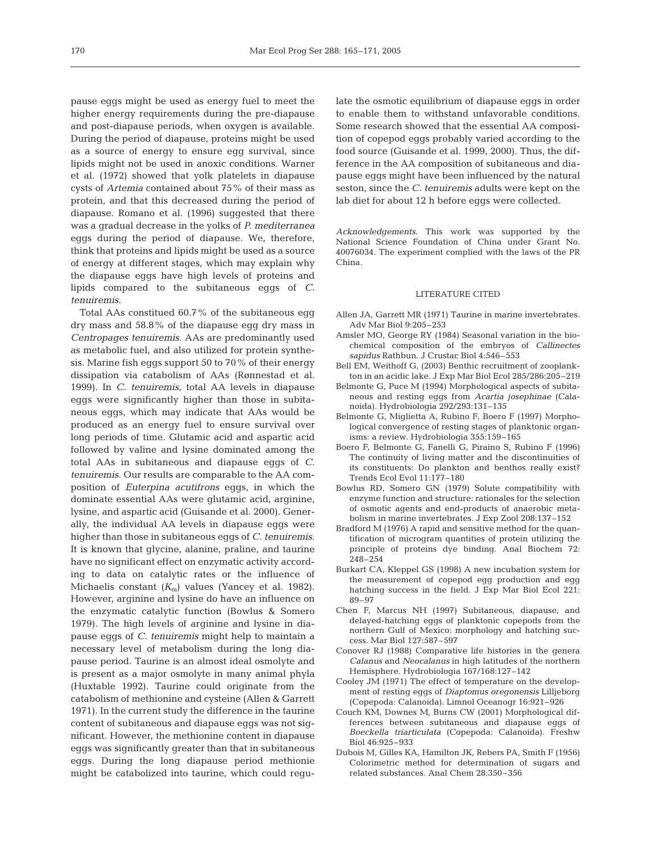pause eggs might be used as energy fuel to meet the higher energy requirements during the pre-diapause and post-diapause periods, when oxygen is available. During the period of diapause, proteins might be used as a source of energy to ensure egg survival, since lipids might not be used in anoxic conditions. Warner et al. (1972) showed that yolk platelets in diapause cysts of *Artemia* contained about 75% of their mass as protein, and that this decreased during the period of diapause. Romano et al. (1996) suggested that there was a gradual decrease in the yolks of *P. mediterranea* eggs during the period of diapause. We, therefore, think that proteins and lipids might be used as a source of energy at different stages, which may explain why the diapause eggs have high levels of proteins and lipids compared to the subitaneous eggs of *C. tenuiremis*.

Total AAs constitued 60.7% of the subitaneous egg dry mass and 58.8% of the diapause egg dry mass in *Centropages tenuiremis*. AAs are predominantly used as metabolic fuel, and also utilized for protein synthesis. Marine fish eggs support 50 to 70% of their energy dissipation via catabolism of AAs (Rønnestad et al. 1999). In *C. tenuiremis*, total AA levels in diapause eggs were significantly higher than those in subitaneous eggs, which may indicate that AAs would be produced as an energy fuel to ensure survival over long periods of time. Glutamic acid and aspartic acid followed by valine and lysine dominated among the total AAs in subitaneous and diapause eggs of *C. tenuiremis*. Our results are comparable to the AA composition of *Euterpina acutifrons* eggs, in which the dominate essential AAs were glutamic acid, arginine, lysine, and aspartic acid (Guisande et al. 2000). Generally, the individual AA levels in diapause eggs were higher than those in subitaneous eggs of *C. tenuiremis*. It is known that glycine, alanine, praline, and taurine have no significant effect on enzymatic activity according to data on catalytic rates or the influence of Michaelis constant ( $K<sub>m</sub>$ ) values (Yancey et al. 1982). However, arginine and lysine do have an influence on the enzymatic catalytic function (Bowlus & Somero 1979). The high levels of arginine and lysine in diapause eggs of *C. tenuiremis* might help to maintain a necessary level of metabolism during the long diapause period. Taurine is an almost ideal osmolyte and is present as a major osmolyte in many animal phyla (Huxtable 1992). Taurine could originate from the catabolism of methionine and cysteine (Allen & Garrett 1971). In the current study the difference in the taurine content of subitaneous and diapause eggs was not significant. However, the methionine content in diapause eggs was significantly greater than that in subitaneous eggs. During the long diapause period methionie might be catabolized into taurine, which could regulate the osmotic equilibrium of diapause eggs in order to enable them to withstand unfavorable conditions. Some research showed that the essential AA composition of copepod eggs probably varied according to the food source (Guisande et al. 1999, 2000). Thus, the difference in the AA composition of subitaneous and diapause eggs might have been influenced by the natural seston, since the *C. tenuiremis* adults were kept on the lab diet for about 12 h before eggs were collected.

*Acknowledgements*. This work was supported by the National Science Foundation of China under Grant No. 40076034. The experiment complied with the laws of the PR China.

## LITERATURE CITED

- Allen JA, Garrett MR (1971) Taurine in marine invertebrates. Adv Mar Biol 9:205–253
- Amsler MO, George RY (1984) Seasonal variation in the biochemical composition of the embryos of *Callinectes sapidus* Rathbun. J Crustac Biol 4:546–553
- Bell EM, Weithoff G, (2003) Benthic recruitment of zooplankton in an acidic lake. J Exp Mar Biol Ecol 285/286:205–219
- Belmonte G, Puce M (1994) Morphological aspects of subitaneous and resting eggs from *Acartia josephinae* (Calanoida). Hydrobiologia 292/293:131–135
- Belmonte G, Miglietta A, Rubino F, Boero F (1997) Morphological convergence of resting stages of planktonic organisms: a review. Hydrobiologia 355:159–165
- Boero F, Belmonte G, Fanelli G, Piraino S, Rubino F (1996) The continuity of living matter and the discontinuities of its constituents: Do plankton and benthos really exist? Trends Ecol Evol 11:177–180
- Bowlus RD, Somero GN (1979) Solute compatibility with enzyme function and structure: rationales for the selection of osmotic agents and end-products of anaerobic metabolism in marine invertebrates. J Exp Zool 208:137–152
- Bradford M (1976) A rapid and sensitive method for the quantification of microgram quantities of protein utilizing the principle of proteins dye binding. Anal Biochem 72: 248–254
- Burkart CA, Kleppel GS (1998) A new incubation system for the measurement of copepod egg production and egg hatching success in the field. J Exp Mar Biol Ecol 221: 89–97
- Chen F, Marcus NH (1997) Subitaneous, diapause, and delayed-hatching eggs of planktonic copepods from the northern Gulf of Mexico: morphology and hatching success. Mar Biol 127:587–597
- Conover RJ (1988) Comparative life histories in the genera *Calanus* and *Neocalanus* in high latitudes of the northern Hemisphere. Hydrobiologia 167/168:127–142
- Cooley JM (1971) The effect of temperature on the development of resting eggs of *Diaptomus oregonensis* Lilljeborg (Copepoda: Calanoida). Limnol Oceanogr 16:921–926
- Couch KM, Downes M, Burns CW (2001) Morphological differences between subitaneous and diapause eggs of *Boeckella triarticulata* (Copepoda: Calanoida). Freshw Biol 46:925–933
- Dubois M, Gilles KA, Hamilton JK, Rebers PA, Smith F (1956) Colorimetric method for determination of sugars and related substances. Anal Chem 28:350–356